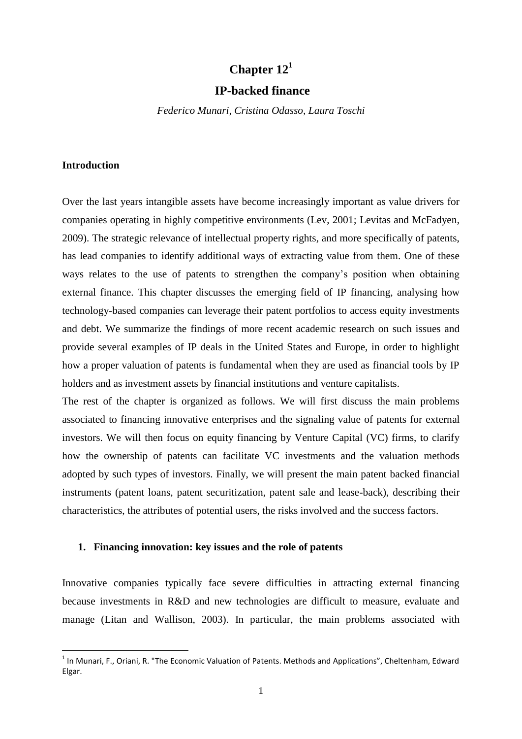# **Chapter 12<sup>1</sup>**

# **IP-backed finance**

*Federico Munari, Cristina Odasso, Laura Toschi*

### **Introduction**

 $\overline{a}$ 

Over the last years intangible assets have become increasingly important as value drivers for companies operating in highly competitive environments (Lev, 2001; Levitas and McFadyen, 2009). The strategic relevance of intellectual property rights, and more specifically of patents, has lead companies to identify additional ways of extracting value from them. One of these ways relates to the use of patents to strengthen the company's position when obtaining external finance. This chapter discusses the emerging field of IP financing, analysing how technology-based companies can leverage their patent portfolios to access equity investments and debt. We summarize the findings of more recent academic research on such issues and provide several examples of IP deals in the United States and Europe, in order to highlight how a proper valuation of patents is fundamental when they are used as financial tools by IP holders and as investment assets by financial institutions and venture capitalists.

The rest of the chapter is organized as follows. We will first discuss the main problems associated to financing innovative enterprises and the signaling value of patents for external investors. We will then focus on equity financing by Venture Capital (VC) firms, to clarify how the ownership of patents can facilitate VC investments and the valuation methods adopted by such types of investors. Finally, we will present the main patent backed financial instruments (patent loans, patent securitization, patent sale and lease-back), describing their characteristics, the attributes of potential users, the risks involved and the success factors.

### **1. Financing innovation: key issues and the role of patents**

Innovative companies typically face severe difficulties in attracting external financing because investments in R&D and new technologies are difficult to measure, evaluate and manage (Litan and Wallison, 2003). In particular, the main problems associated with

<sup>&</sup>lt;sup>1</sup> In Munari, F., Oriani, R. "The Economic Valuation of Patents. Methods and Applications", Cheltenham, Edward Elgar.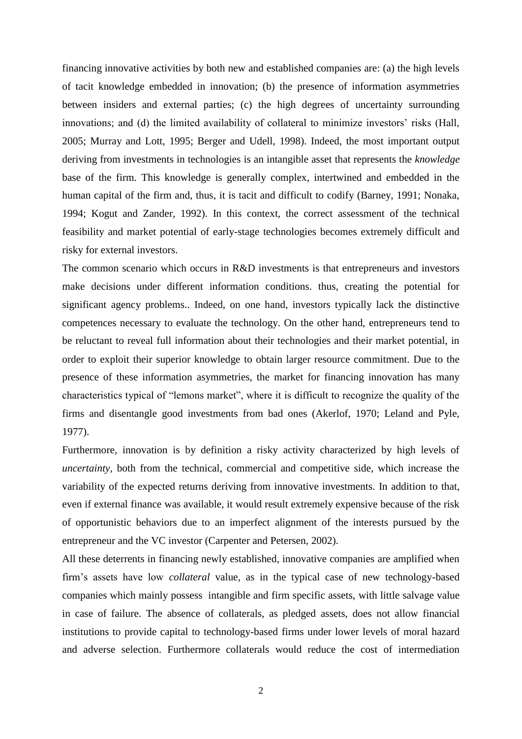financing innovative activities by both new and established companies are: (a) the high levels of tacit knowledge embedded in innovation; (b) the presence of information asymmetries between insiders and external parties; (c) the high degrees of uncertainty surrounding innovations; and (d) the limited availability of collateral to minimize investors' risks (Hall, 2005; Murray and Lott, 1995; Berger and Udell, 1998). Indeed, the most important output deriving from investments in technologies is an intangible asset that represents the *knowledge* base of the firm. This knowledge is generally complex, intertwined and embedded in the human capital of the firm and, thus, it is tacit and difficult to codify (Barney, 1991; Nonaka, 1994; Kogut and Zander, 1992). In this context, the correct assessment of the technical feasibility and market potential of early-stage technologies becomes extremely difficult and risky for external investors.

The common scenario which occurs in R&D investments is that entrepreneurs and investors make decisions under different information conditions. thus, creating the potential for significant agency problems.. Indeed, on one hand, investors typically lack the distinctive competences necessary to evaluate the technology. On the other hand, entrepreneurs tend to be reluctant to reveal full information about their technologies and their market potential, in order to exploit their superior knowledge to obtain larger resource commitment. Due to the presence of these information asymmetries, the market for financing innovation has many characteristics typical of "lemons market", where it is difficult to recognize the quality of the firms and disentangle good investments from bad ones (Akerlof, 1970; Leland and Pyle, 1977).

Furthermore, innovation is by definition a risky activity characterized by high levels of *uncertainty,* both from the technical, commercial and competitive side, which increase the variability of the expected returns deriving from innovative investments. In addition to that, even if external finance was available, it would result extremely expensive because of the risk of opportunistic behaviors due to an imperfect alignment of the interests pursued by the entrepreneur and the VC investor (Carpenter and Petersen, 2002).

All these deterrents in financing newly established, innovative companies are amplified when firm"s assets have low *collateral* value, as in the typical case of new technology-based companies which mainly possess intangible and firm specific assets, with little salvage value in case of failure. The absence of collaterals, as pledged assets, does not allow financial institutions to provide capital to technology-based firms under lower levels of moral hazard and adverse selection. Furthermore collaterals would reduce the cost of intermediation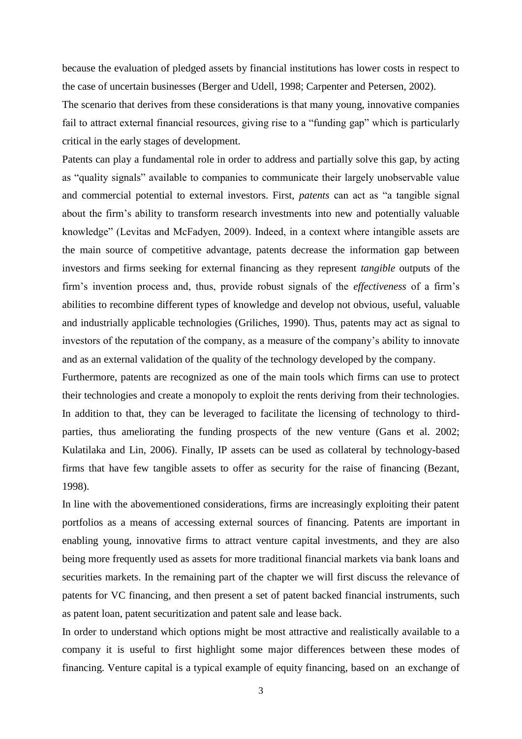because the evaluation of pledged assets by financial institutions has lower costs in respect to the case of uncertain businesses (Berger and Udell, 1998; Carpenter and Petersen, 2002).

The scenario that derives from these considerations is that many young, innovative companies fail to attract external financial resources, giving rise to a "funding gap" which is particularly critical in the early stages of development.

Patents can play a fundamental role in order to address and partially solve this gap, by acting as "quality signals" available to companies to communicate their largely unobservable value and commercial potential to external investors. First, *patents* can act as "a tangible signal about the firm"s ability to transform research investments into new and potentially valuable knowledge" (Levitas and McFadyen, 2009). Indeed, in a context where intangible assets are the main source of competitive advantage, patents decrease the information gap between investors and firms seeking for external financing as they represent *tangible* outputs of the firm"s invention process and, thus, provide robust signals of the *effectiveness* of a firm"s abilities to recombine different types of knowledge and develop not obvious, useful, valuable and industrially applicable technologies (Griliches, 1990). Thus, patents may act as signal to investors of the reputation of the company, as a measure of the company"s ability to innovate and as an external validation of the quality of the technology developed by the company.

Furthermore, patents are recognized as one of the main tools which firms can use to protect their technologies and create a monopoly to exploit the rents deriving from their technologies. In addition to that, they can be leveraged to facilitate the licensing of technology to thirdparties, thus ameliorating the funding prospects of the new venture (Gans et al. 2002; Kulatilaka and Lin, 2006). Finally, IP assets can be used as collateral by technology-based firms that have few tangible assets to offer as security for the raise of financing (Bezant, 1998).

In line with the abovementioned considerations, firms are increasingly exploiting their patent portfolios as a means of accessing external sources of financing. Patents are important in enabling young, innovative firms to attract venture capital investments, and they are also being more frequently used as assets for more traditional financial markets via bank loans and securities markets. In the remaining part of the chapter we will first discuss the relevance of patents for VC financing, and then present a set of patent backed financial instruments, such as patent loan, patent securitization and patent sale and lease back.

In order to understand which options might be most attractive and realistically available to a company it is useful to first highlight some major differences between these modes of financing. Venture capital is a typical example of [equity financing,](http://www.toolkit.com/small_business_guide/sbg.aspx?nid=P10_2100) based on an exchange of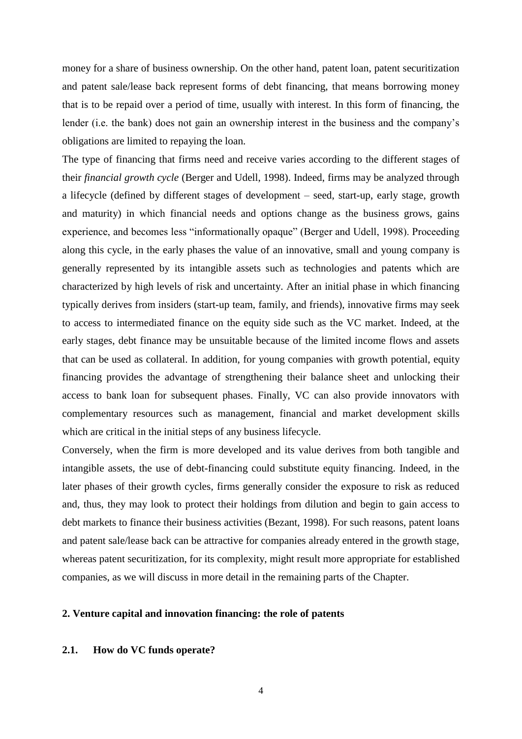money for a share of business ownership. On the other hand, patent loan, patent securitization and patent sale/lease back represent forms of debt financing, that means borrowing money that is to be repaid over a period of time, usually with interest. In this form of financing, the lender (i.e. the bank) does not gain an ownership interest in the business and the company"s obligations are limited to repaying the loan.

The type of financing that firms need and receive varies according to the different stages of their *financial growth cycle* (Berger and Udell, 1998). Indeed, firms may be analyzed through a lifecycle (defined by different stages of development – seed, start-up, early stage, growth and maturity) in which financial needs and options change as the business grows, gains experience, and becomes less "informationally opaque" (Berger and Udell, 1998). Proceeding along this cycle, in the early phases the value of an innovative, small and young company is generally represented by its intangible assets such as technologies and patents which are characterized by high levels of risk and uncertainty. After an initial phase in which financing typically derives from insiders (start-up team, family, and friends), innovative firms may seek to access to intermediated finance on the equity side such as the VC market. Indeed, at the early stages, debt finance may be unsuitable because of the limited income flows and assets that can be used as collateral. In addition, for young companies with growth potential, equity financing provides the advantage of strengthening their balance sheet and unlocking their access to bank loan for subsequent phases. Finally, VC can also provide innovators with complementary resources such as management, financial and market development skills which are critical in the initial steps of any business lifecycle.

Conversely, when the firm is more developed and its value derives from both tangible and intangible assets, the use of debt-financing could substitute equity financing. Indeed, in the later phases of their growth cycles, firms generally consider the exposure to risk as reduced and, thus, they may look to protect their holdings from dilution and begin to gain access to debt markets to finance their business activities (Bezant, 1998). For such reasons, patent loans and patent sale/lease back can be attractive for companies already entered in the growth stage, whereas patent securitization, for its complexity, might result more appropriate for established companies, as we will discuss in more detail in the remaining parts of the Chapter.

### **2. Venture capital and innovation financing: the role of patents**

# **2.1. How do VC funds operate?**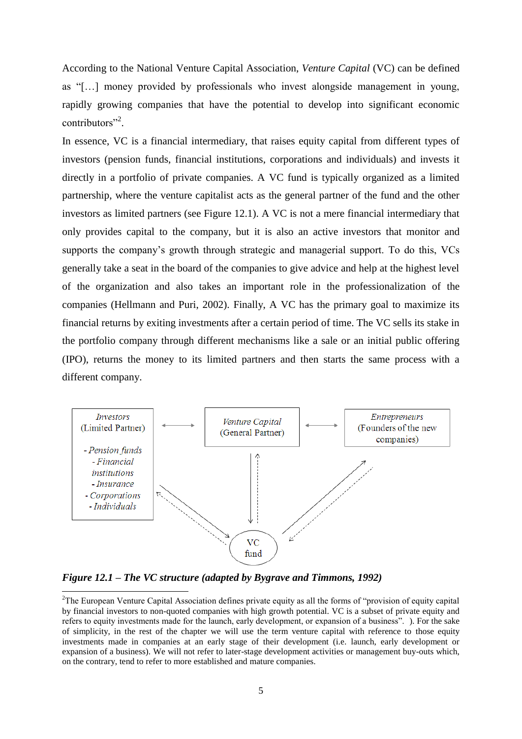According to the National Venture Capital Association, *Venture Capital* (VC) can be defined as "[…] money provided by professionals who invest alongside management in young, rapidly growing companies that have the potential to develop into significant economic contributors"<sup>2</sup>.

In essence, VC is a financial intermediary, that raises equity capital from different types of investors (pension funds, financial institutions, corporations and individuals) and invests it directly in a portfolio of private companies. A VC fund is typically organized as a limited partnership, where the venture capitalist acts as the general partner of the fund and the other investors as limited partners (see Figure 12.1). A VC is not a mere financial intermediary that only provides capital to the company, but it is also an active investors that monitor and supports the company's growth through strategic and managerial support. To do this, VCs generally take a seat in the board of the companies to give advice and help at the highest level of the organization and also takes an important role in the professionalization of the companies (Hellmann and Puri, 2002). Finally, A VC has the primary goal to maximize its financial returns by exiting investments after a certain period of time. The VC sells its stake in the portfolio company through different mechanisms like a sale or an initial public offering (IPO), returns the money to its limited partners and then starts the same process with a different company.



*Figure 12.1 – The VC structure (adapted by Bygrave and Timmons, 1992)*

 $\overline{\phantom{a}}$ 

 $2^2$ The European Venture Capital Association defines private equity as all the forms of "provision of equity capital" by financial investors to non-quoted companies with high growth potential. VC is a subset of private equity and refers to equity investments made for the launch, early development, or expansion of a business". ). For the sake of simplicity, in the rest of the chapter we will use the term venture capital with reference to those equity investments made in companies at an early stage of their development (i.e. launch, early development or expansion of a business). We will not refer to later-stage development activities or management buy-outs which, on the contrary, tend to refer to more established and mature companies.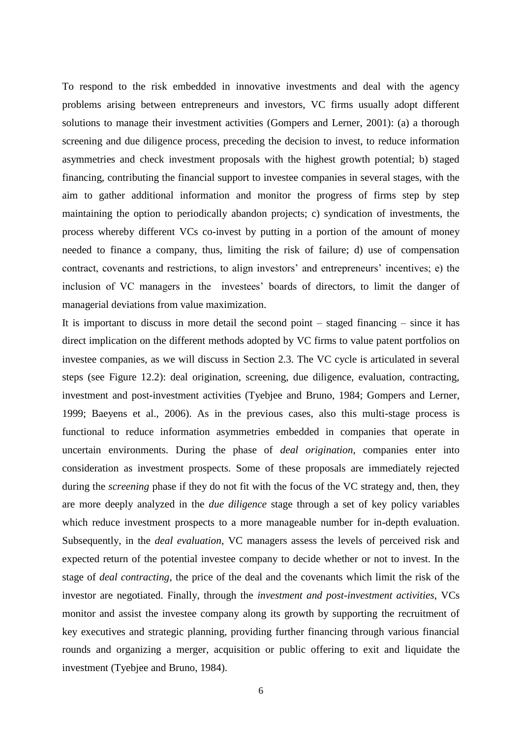To respond to the risk embedded in innovative investments and deal with the agency problems arising between entrepreneurs and investors, VC firms usually adopt different solutions to manage their investment activities (Gompers and Lerner, 2001): (a) a thorough screening and due diligence process, preceding the decision to invest, to reduce information asymmetries and check investment proposals with the highest growth potential; b) staged financing, contributing the financial support to investee companies in several stages, with the aim to gather additional information and monitor the progress of firms step by step maintaining the option to periodically abandon projects; c) syndication of investments, the process whereby different VCs co-invest by putting in a portion of the amount of money needed to finance a company, thus, limiting the risk of failure; d) use of compensation contract, covenants and restrictions, to align investors' and entrepreneurs' incentives; e) the inclusion of VC managers in the investees" boards of directors, to limit the danger of managerial deviations from value maximization.

It is important to discuss in more detail the second point – staged financing – since it has direct implication on the different methods adopted by VC firms to value patent portfolios on investee companies, as we will discuss in Section 2.3. The VC cycle is articulated in several steps (see Figure 12.2): deal origination, screening, due diligence, evaluation, contracting, investment and post-investment activities (Tyebjee and Bruno, 1984; Gompers and Lerner, 1999; Baeyens et al., 2006). As in the previous cases, also this multi-stage process is functional to reduce information asymmetries embedded in companies that operate in uncertain environments. During the phase of *deal origination*, companies enter into consideration as investment prospects. Some of these proposals are immediately rejected during the *screening* phase if they do not fit with the focus of the VC strategy and, then, they are more deeply analyzed in the *due diligence* stage through a set of key policy variables which reduce investment prospects to a more manageable number for in-depth evaluation. Subsequently, in the *deal evaluation*, VC managers assess the levels of perceived risk and expected return of the potential investee company to decide whether or not to invest. In the stage of *deal contracting*, the price of the deal and the covenants which limit the risk of the investor are negotiated. Finally, through the *investment and post-investment activities*, VCs monitor and assist the investee company along its growth by supporting the recruitment of key executives and strategic planning, providing further financing through various financial rounds and organizing a merger, acquisition or public offering to exit and liquidate the investment (Tyebjee and Bruno, 1984).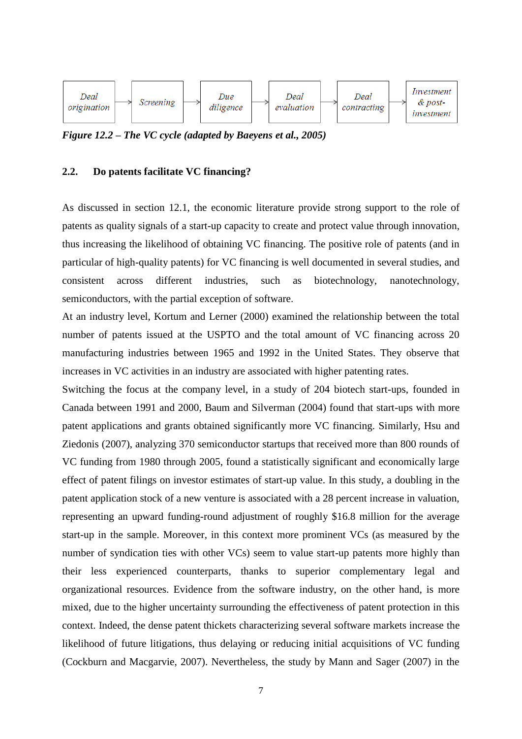

*Figure 12.2 – The VC cycle (adapted by Baeyens et al., 2005)*

# **2.2. Do patents facilitate VC financing?**

As discussed in section 12.1, the economic literature provide strong support to the role of patents as quality signals of a start-up capacity to create and protect value through innovation, thus increasing the likelihood of obtaining VC financing. The positive role of patents (and in particular of high-quality patents) for VC financing is well documented in several studies, and consistent across different industries, such as biotechnology, nanotechnology, semiconductors, with the partial exception of software.

At an industry level, Kortum and Lerner (2000) examined the relationship between the total number of patents issued at the USPTO and the total amount of VC financing across 20 manufacturing industries between 1965 and 1992 in the United States. They observe that increases in VC activities in an industry are associated with higher patenting rates.

Switching the focus at the company level, in a study of 204 biotech start-ups, founded in Canada between 1991 and 2000, Baum and Silverman (2004) found that start-ups with more patent applications and grants obtained significantly more VC financing. Similarly, Hsu and Ziedonis (2007), analyzing 370 semiconductor startups that received more than 800 rounds of VC funding from 1980 through 2005, found a statistically significant and economically large effect of patent filings on investor estimates of start-up value. In this study, a doubling in the patent application stock of a new venture is associated with a 28 percent increase in valuation, representing an upward funding-round adjustment of roughly \$16.8 million for the average start-up in the sample. Moreover, in this context more prominent VCs (as measured by the number of syndication ties with other VCs) seem to value start-up patents more highly than their less experienced counterparts, thanks to superior complementary legal and organizational resources. Evidence from the software industry, on the other hand, is more mixed, due to the higher uncertainty surrounding the effectiveness of patent protection in this context. Indeed, the dense patent thickets characterizing several software markets increase the likelihood of future litigations, thus delaying or reducing initial acquisitions of VC funding (Cockburn and Macgarvie, 2007). Nevertheless, the study by Mann and Sager (2007) in the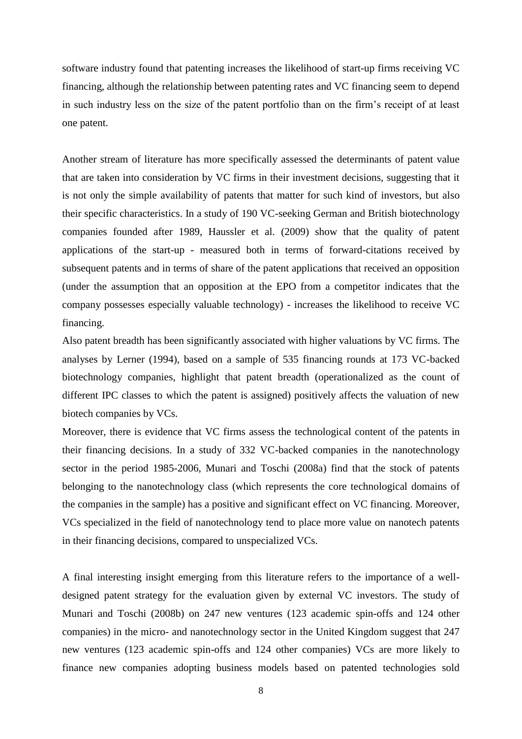software industry found that patenting increases the likelihood of start-up firms receiving VC financing, although the relationship between patenting rates and VC financing seem to depend in such industry less on the size of the patent portfolio than on the firm"s receipt of at least one patent.

Another stream of literature has more specifically assessed the determinants of patent value that are taken into consideration by VC firms in their investment decisions, suggesting that it is not only the simple availability of patents that matter for such kind of investors, but also their specific characteristics. In a study of 190 VC-seeking German and British biotechnology companies founded after 1989, Haussler et al. (2009) show that the quality of patent applications of the start-up - measured both in terms of forward-citations received by subsequent patents and in terms of share of the patent applications that received an opposition (under the assumption that an opposition at the EPO from a competitor indicates that the company possesses especially valuable technology) - increases the likelihood to receive VC financing.

Also patent breadth has been significantly associated with higher valuations by VC firms. The analyses by Lerner (1994), based on a sample of 535 financing rounds at 173 VC-backed biotechnology companies, highlight that patent breadth (operationalized as the count of different IPC classes to which the patent is assigned) positively affects the valuation of new biotech companies by VCs.

Moreover, there is evidence that VC firms assess the technological content of the patents in their financing decisions. In a study of 332 VC-backed companies in the nanotechnology sector in the period 1985-2006, Munari and Toschi (2008a) find that the stock of patents belonging to the nanotechnology class (which represents the core technological domains of the companies in the sample) has a positive and significant effect on VC financing. Moreover, VCs specialized in the field of nanotechnology tend to place more value on nanotech patents in their financing decisions, compared to unspecialized VCs.

A final interesting insight emerging from this literature refers to the importance of a welldesigned patent strategy for the evaluation given by external VC investors. The study of Munari and Toschi (2008b) on 247 new ventures (123 academic spin-offs and 124 other companies) in the micro- and nanotechnology sector in the United Kingdom suggest that 247 new ventures (123 academic spin-offs and 124 other companies) VCs are more likely to finance new companies adopting business models based on patented technologies sold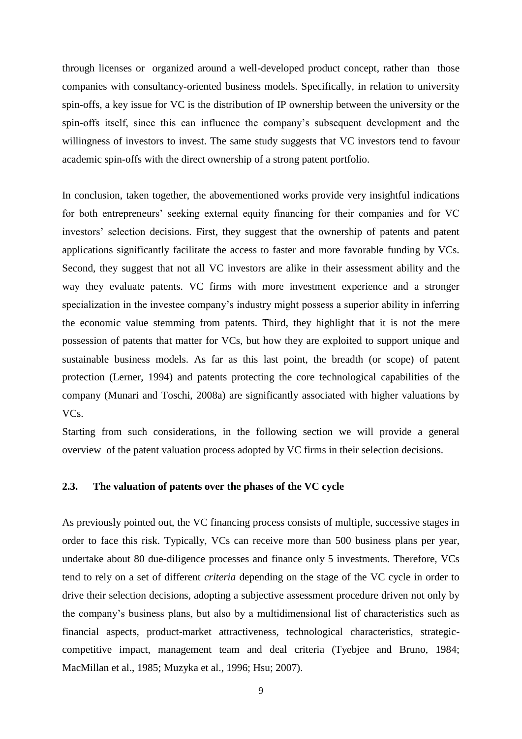through licenses or organized around a well-developed product concept, rather than those companies with consultancy-oriented business models. Specifically, in relation to university spin-offs, a key issue for VC is the distribution of IP ownership between the university or the spin-offs itself, since this can influence the company"s subsequent development and the willingness of investors to invest. The same study suggests that VC investors tend to favour academic spin-offs with the direct ownership of a strong patent portfolio.

In conclusion, taken together, the abovementioned works provide very insightful indications for both entrepreneurs' seeking external equity financing for their companies and for VC investors" selection decisions. First, they suggest that the ownership of patents and patent applications significantly facilitate the access to faster and more favorable funding by VCs. Second, they suggest that not all VC investors are alike in their assessment ability and the way they evaluate patents. VC firms with more investment experience and a stronger specialization in the investee company's industry might possess a superior ability in inferring the economic value stemming from patents. Third, they highlight that it is not the mere possession of patents that matter for VCs, but how they are exploited to support unique and sustainable business models. As far as this last point, the breadth (or scope) of patent protection (Lerner, 1994) and patents protecting the core technological capabilities of the company (Munari and Toschi, 2008a) are significantly associated with higher valuations by VCs.

Starting from such considerations, in the following section we will provide a general overview of the patent valuation process adopted by VC firms in their selection decisions.

## **2.3. The valuation of patents over the phases of the VC cycle**

As previously pointed out, the VC financing process consists of multiple, successive stages in order to face this risk. Typically, VCs can receive more than 500 business plans per year, undertake about 80 due-diligence processes and finance only 5 investments. Therefore, VCs tend to rely on a set of different *criteria* depending on the stage of the VC cycle in order to drive their selection decisions, adopting a subjective assessment procedure driven not only by the company"s business plans, but also by a multidimensional list of characteristics such as financial aspects, product-market attractiveness, technological characteristics, strategiccompetitive impact, management team and deal criteria (Tyebjee and Bruno, 1984; MacMillan et al., 1985; Muzyka et al., 1996; Hsu; 2007).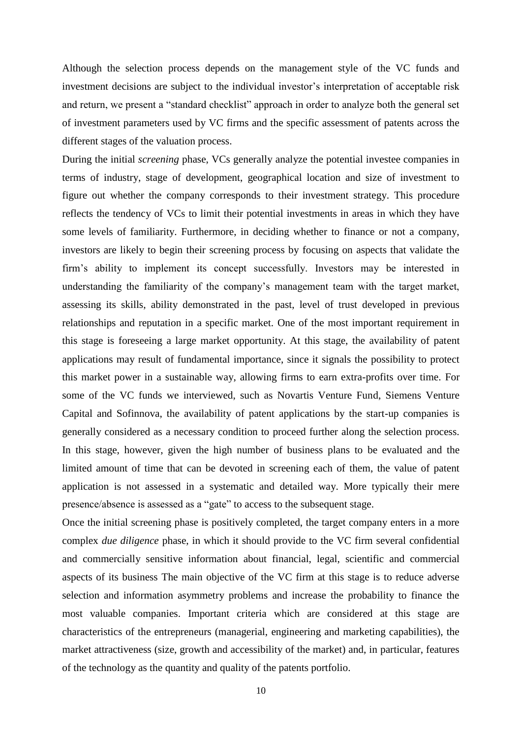Although the selection process depends on the management style of the VC funds and investment decisions are subject to the individual investor's interpretation of acceptable risk and return, we present a "standard checklist" approach in order to analyze both the general set of investment parameters used by VC firms and the specific assessment of patents across the different stages of the valuation process.

During the initial *screening* phase, VCs generally analyze the potential investee companies in terms of industry, stage of development, geographical location and size of investment to figure out whether the company corresponds to their investment strategy. This procedure reflects the tendency of VCs to limit their potential investments in areas in which they have some levels of familiarity. Furthermore, in deciding whether to finance or not a company, investors are likely to begin their screening process by focusing on aspects that validate the firm"s ability to implement its concept successfully. Investors may be interested in understanding the familiarity of the company"s management team with the target market, assessing its skills, ability demonstrated in the past, level of trust developed in previous relationships and reputation in a specific market. One of the most important requirement in this stage is foreseeing a large market opportunity. At this stage, the availability of patent applications may result of fundamental importance, since it signals the possibility to protect this market power in a sustainable way, allowing firms to earn extra-profits over time. For some of the VC funds we interviewed, such as Novartis Venture Fund, Siemens Venture Capital and Sofinnova, the availability of patent applications by the start-up companies is generally considered as a necessary condition to proceed further along the selection process. In this stage, however, given the high number of business plans to be evaluated and the limited amount of time that can be devoted in screening each of them, the value of patent application is not assessed in a systematic and detailed way. More typically their mere presence/absence is assessed as a "gate" to access to the subsequent stage.

Once the initial screening phase is positively completed, the target company enters in a more complex *due diligence* phase, in which it should provide to the VC firm several confidential and commercially sensitive information about financial, legal, scientific and commercial aspects of its business The main objective of the VC firm at this stage is to reduce adverse selection and information asymmetry problems and increase the probability to finance the most valuable companies. Important criteria which are considered at this stage are characteristics of the entrepreneurs (managerial, engineering and marketing capabilities), the market attractiveness (size, growth and accessibility of the market) and, in particular, features of the technology as the quantity and quality of the patents portfolio.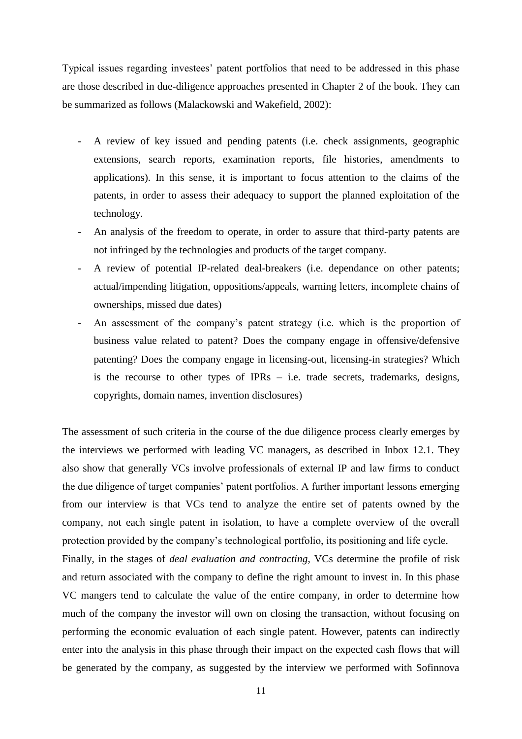Typical issues regarding investees" patent portfolios that need to be addressed in this phase are those described in due-diligence approaches presented in Chapter 2 of the book. They can be summarized as follows (Malackowski and Wakefield, 2002):

- A review of key issued and pending patents (i.e. check assignments, geographic extensions, search reports, examination reports, file histories, amendments to applications). In this sense, it is important to focus attention to the claims of the patents, in order to assess their adequacy to support the planned exploitation of the technology.
- An analysis of the freedom to operate, in order to assure that third-party patents are not infringed by the technologies and products of the target company.
- A review of potential IP-related deal-breakers (i.e. dependance on other patents; actual/impending litigation, oppositions/appeals, warning letters, incomplete chains of ownerships, missed due dates)
- An assessment of the company's patent strategy (i.e. which is the proportion of business value related to patent? Does the company engage in offensive/defensive patenting? Does the company engage in licensing-out, licensing-in strategies? Which is the recourse to other types of IPRs – i.e. trade secrets, trademarks, designs, copyrights, domain names, invention disclosures)

The assessment of such criteria in the course of the due diligence process clearly emerges by the interviews we performed with leading VC managers, as described in Inbox 12.1. They also show that generally VCs involve professionals of external IP and law firms to conduct the due diligence of target companies" patent portfolios. A further important lessons emerging from our interview is that VCs tend to analyze the entire set of patents owned by the company, not each single patent in isolation, to have a complete overview of the overall protection provided by the company"s technological portfolio, its positioning and life cycle. Finally, in the stages of *deal evaluation and contracting*, VCs determine the profile of risk and return associated with the company to define the right amount to invest in. In this phase VC mangers tend to calculate the value of the entire company, in order to determine how much of the company the investor will own on closing the transaction, without focusing on

performing the economic evaluation of each single patent. However, patents can indirectly enter into the analysis in this phase through their impact on the expected cash flows that will be generated by the company, as suggested by the interview we performed with Sofinnova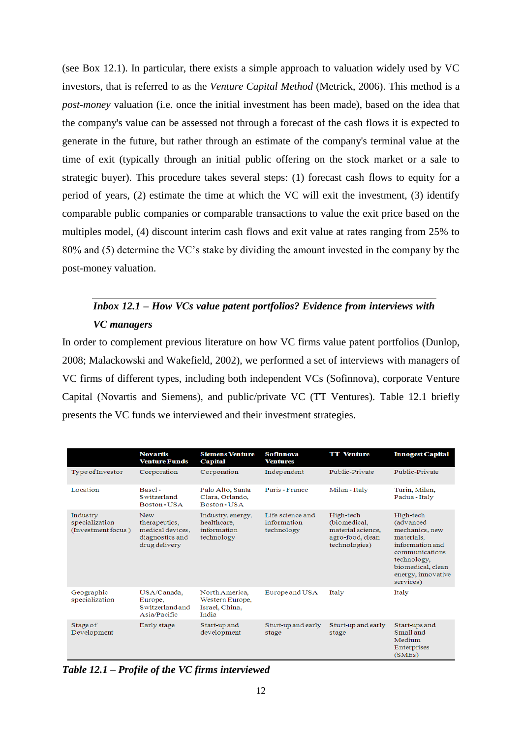(see Box 12.1). In particular, there exists a simple approach to valuation widely used by VC investors, that is referred to as the *Venture Capital Method* (Metrick, 2006). This method is a *post-money* valuation (i.e. once the initial investment has been made), based on the idea that the company's value can be assessed not through a forecast of the cash flows it is expected to generate in the future, but rather through an estimate of the company's terminal value at the time of exit (typically through an initial public offering on the stock market or a sale to strategic buyer). This procedure takes several steps: (1) forecast cash flows to equity for a period of years, (2) estimate the time at which the VC will exit the investment, (3) identify comparable public companies or comparable transactions to value the exit price based on the multiples model, (4) discount interim cash flows and exit value at rates ranging from 25% to 80% and (5) determine the VC"s stake by dividing the amount invested in the company by the post-money valuation.

# *Inbox 12.1 – How VCs value patent portfolios? Evidence from interviews with VC managers*

In order to complement previous literature on how VC firms value patent portfolios (Dunlop, 2008; Malackowski and Wakefield, 2002), we performed a set of interviews with managers of VC firms of different types, including both independent VCs (Sofinnova), corporate Venture Capital (Novartis and Siemens), and public/private VC (TT Ventures). Table 12.1 briefly presents the VC funds we interviewed and their investment strategies.

|                                                  | <b>Novartis</b><br><b>Venture Funds</b>                                             | <b>Siemens Venture</b><br>Capital                             | <b>Sofinnova</b><br><b>Ventures</b>           | <b>TT</b> Venture                                                                   | <b>Innogest Capital</b>                                                                                                                                            |
|--------------------------------------------------|-------------------------------------------------------------------------------------|---------------------------------------------------------------|-----------------------------------------------|-------------------------------------------------------------------------------------|--------------------------------------------------------------------------------------------------------------------------------------------------------------------|
| Type of Investor                                 | Corporation                                                                         | Corporation                                                   | Independent                                   | Public-Private                                                                      | Public-Private                                                                                                                                                     |
| Location                                         | Basel-<br>Switzerland<br>Boston-USA                                                 | Palo Alto, Santa<br>Clara, Orlando,<br>Boston-USA             | Paris - France                                | Milan - Italy                                                                       | Turin, Milan,<br>Padua - Italy                                                                                                                                     |
| Industry<br>specialization<br>(Investment focus) | <b>New</b><br>therapeutics.<br>medical devices.<br>diagnostics and<br>drug delivery | Industry, energy,<br>healthcare.<br>information<br>technology | Life science and<br>information<br>technology | High-tech<br>(biomedical,<br>material science.<br>agro-food, clean<br>technologies) | High-tech<br>(advanced<br>mechanics, new<br>materials.<br>information and<br>communications<br>technology,<br>biomedical, clean<br>energy, innovative<br>services) |
| Geographic<br>specialization                     | USA/Canada.<br>Europe,<br>Switzerland and<br>Asia/Pacific                           | North America.<br>Western Europe,<br>Israel, China,<br>India  | Europe and USA                                | Italy                                                                               | Italy                                                                                                                                                              |
| Stage of<br>Development                          | Early stage                                                                         | Start-up and<br>development                                   | Sturt-up and early<br>stage                   | Sturt-up and early<br>stage                                                         | Start-ups and<br>Small and<br>Medium<br>Enterprises<br>(SMEs)                                                                                                      |

*Table 12.1 – Profile of the VC firms interviewed*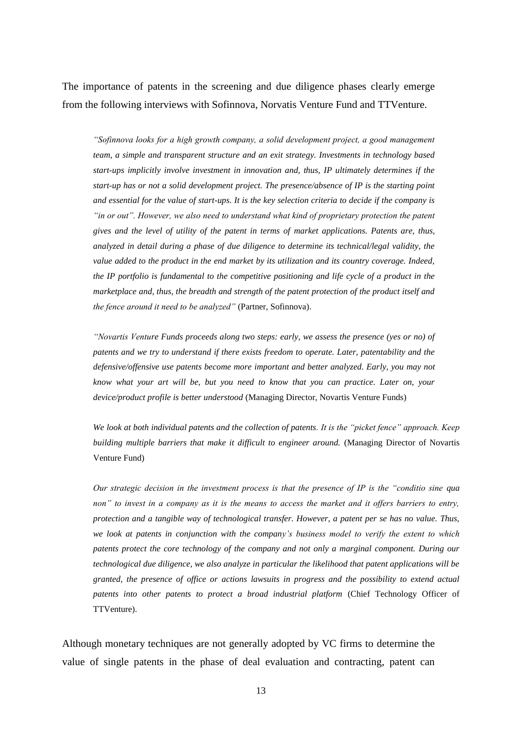The importance of patents in the screening and due diligence phases clearly emerge from the following interviews with Sofinnova, Norvatis Venture Fund and TTVenture.

*"Sofinnova looks for a high growth company, a solid development project, a good management team, a simple and transparent structure and an exit strategy. Investments in technology based start-ups implicitly involve investment in innovation and, thus, IP ultimately determines if the start-up has or not a solid development project. The presence/absence of IP is the starting point and essential for the value of start-ups. It is the key selection criteria to decide if the company is "in or out". However, we also need to understand what kind of proprietary protection the patent gives and the level of utility of the patent in terms of market applications. Patents are, thus, analyzed in detail during a phase of due diligence to determine its technical/legal validity, the value added to the product in the end market by its utilization and its country coverage. Indeed, the IP portfolio is fundamental to the competitive positioning and life cycle of a product in the marketplace and, thus, the breadth and strength of the patent protection of the product itself and the fence around it need to be analyzed"* (Partner, Sofinnova).

*"Novartis Venture Funds proceeds along two steps: early, we assess the presence (yes or no) of patents and we try to understand if there exists freedom to operate. Later, patentability and the defensive/offensive use patents become more important and better analyzed. Early, you may not know what your art will be, but you need to know that you can practice. Later on, your device/product profile is better understood* (Managing Director, Novartis Venture Funds)

*We look at both individual patents and the collection of patents. It is the "picket fence" approach. Keep building multiple barriers that make it difficult to engineer around.* (Managing Director of Novartis Venture Fund)

*Our strategic decision in the investment process is that the presence of IP is the "conditio sine qua non" to invest in a company as it is the means to access the market and it offers barriers to entry, protection and a tangible way of technological transfer. However, a patent per se has no value. Thus, we look at patents in conjunction with the company"s business model to verify the extent to which patents protect the core technology of the company and not only a marginal component. During our technological due diligence, we also analyze in particular the likelihood that patent applications will be granted, the presence of office or actions lawsuits in progress and the possibility to extend actual patents into other patents to protect a broad industrial platform* (Chief Technology Officer of TTVenture).

Although monetary techniques are not generally adopted by VC firms to determine the value of single patents in the phase of deal evaluation and contracting, patent can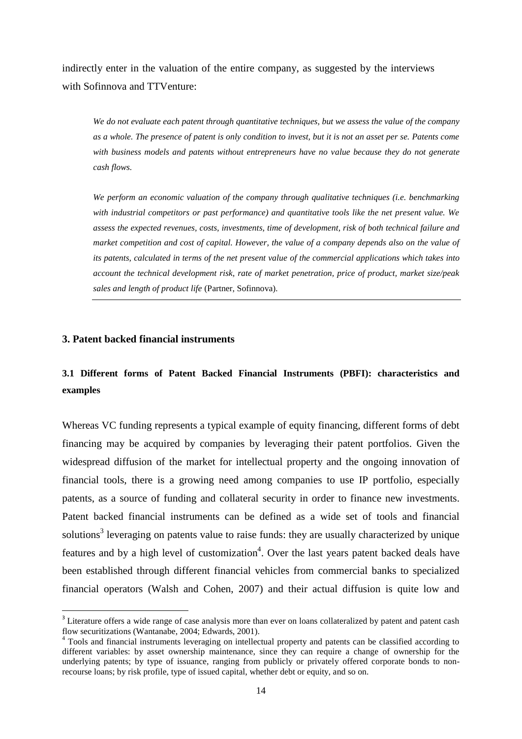indirectly enter in the valuation of the entire company, as suggested by the interviews with Sofinnova and TTVenture:

*We do not evaluate each patent through quantitative techniques, but we assess the value of the company as a whole. The presence of patent is only condition to invest, but it is not an asset per se. Patents come with business models and patents without entrepreneurs have no value because they do not generate cash flows.*

*We perform an economic valuation of the company through qualitative techniques (i.e. benchmarking with industrial competitors or past performance) and quantitative tools like the net present value. We assess the expected revenues, costs, investments, time of development, risk of both technical failure and market competition and cost of capital. However, the value of a company depends also on the value of its patents, calculated in terms of the net present value of the commercial applications which takes into account the technical development risk, rate of market penetration, price of product, market size/peak sales and length of product life* (Partner, Sofinnova)*.* 

### **3. Patent backed financial instruments**

 $\overline{a}$ 

# **3.1 Different forms of Patent Backed Financial Instruments (PBFI): characteristics and examples**

Whereas VC funding represents a typical example of equity financing, different forms of debt financing may be acquired by companies by leveraging their patent portfolios. Given the widespread diffusion of the market for intellectual property and the ongoing innovation of financial tools, there is a growing need among companies to use IP portfolio, especially patents, as a source of funding and collateral security in order to finance new investments. Patent backed financial instruments can be defined as a wide set of tools and financial solutions<sup>3</sup> leveraging on patents value to raise funds: they are usually characterized by unique features and by a high level of customization<sup>4</sup>. Over the last years patent backed deals have been established through different financial vehicles from commercial banks to specialized financial operators (Walsh and Cohen, 2007) and their actual diffusion is quite low and

<sup>&</sup>lt;sup>3</sup> Literature offers a wide range of case analysis more than ever on loans collateralized by patent and patent cash flow securitizations (Wantanabe, 2004; Edwards, 2001).

<sup>&</sup>lt;sup>4</sup> Tools and financial instruments leveraging on intellectual property and patents can be classified according to different variables: by asset ownership maintenance, since they can require a change of ownership for the underlying patents; by type of issuance, ranging from publicly or privately offered corporate bonds to nonrecourse loans; by risk profile, type of issued capital, whether debt or equity, and so on.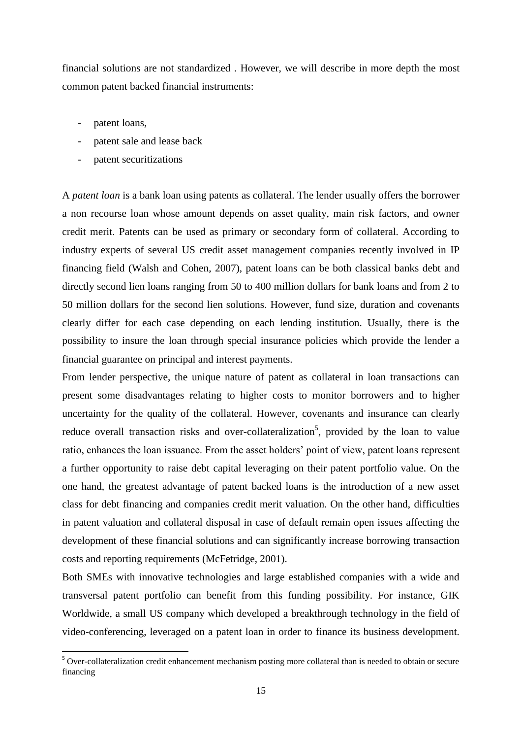financial solutions are not standardized . However, we will describe in more depth the most common patent backed financial instruments:

- patent loans,

 $\overline{a}$ 

- patent sale and lease back
- patent securitizations

A *patent loan* is a bank loan using patents as collateral. The lender usually offers the borrower a non recourse loan whose amount depends on asset quality, main risk factors, and owner credit merit. Patents can be used as primary or secondary form of collateral. According to industry experts of several US credit asset management companies recently involved in IP financing field (Walsh and Cohen, 2007), patent loans can be both classical banks debt and directly second lien loans ranging from 50 to 400 million dollars for bank loans and from 2 to 50 million dollars for the second lien solutions. However, fund size, duration and covenants clearly differ for each case depending on each lending institution. Usually, there is the possibility to insure the loan through special insurance policies which provide the lender a financial guarantee on principal and interest payments.

From lender perspective, the unique nature of patent as collateral in loan transactions can present some disadvantages relating to higher costs to monitor borrowers and to higher uncertainty for the quality of the collateral. However, covenants and insurance can clearly reduce overall transaction risks and over-collateralization<sup>5</sup>, provided by the loan to value ratio, enhances the loan issuance. From the asset holders' point of view, patent loans represent a further opportunity to raise debt capital leveraging on their patent portfolio value. On the one hand, the greatest advantage of patent backed loans is the introduction of a new asset class for debt financing and companies credit merit valuation. On the other hand, difficulties in patent valuation and collateral disposal in case of default remain open issues affecting the development of these financial solutions and can significantly increase borrowing transaction costs and reporting requirements (McFetridge, 2001).

Both SMEs with innovative technologies and large established companies with a wide and transversal patent portfolio can benefit from this funding possibility. For instance, GIK Worldwide, a small US company which developed a breakthrough technology in the field of video-conferencing, leveraged on a patent loan in order to finance its business development.

<sup>&</sup>lt;sup>5</sup> Over-collateralization credit enhancement mechanism posting more collateral than is needed to obtain or secure financing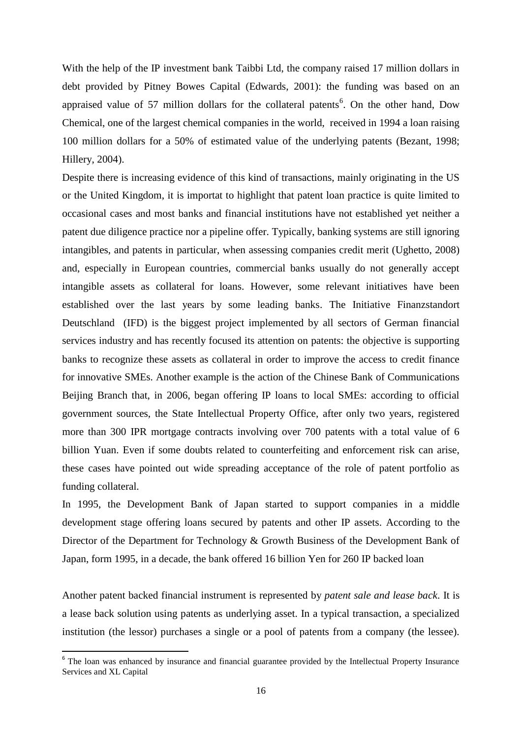With the help of the IP investment bank Taibbi Ltd, the company raised 17 million dollars in debt provided by Pitney Bowes Capital (Edwards, 2001): the funding was based on an appraised value of 57 million dollars for the collateral patents<sup>6</sup>. On the other hand, Dow Chemical, one of the largest chemical companies in the world, received in 1994 a loan raising 100 million dollars for a 50% of estimated value of the underlying patents (Bezant, 1998; Hillery, 2004).

Despite there is increasing evidence of this kind of transactions, mainly originating in the US or the United Kingdom, it is importat to highlight that patent loan practice is quite limited to occasional cases and most banks and financial institutions have not established yet neither a patent due diligence practice nor a pipeline offer. Typically, banking systems are still ignoring intangibles, and patents in particular, when assessing companies credit merit (Ughetto, 2008) and, especially in European countries, commercial banks usually do not generally accept intangible assets as collateral for loans. However, some relevant initiatives have been established over the last years by some leading banks. The Initiative Finanzstandort Deutschland (IFD) is the biggest project implemented by all sectors of German financial services industry and has recently focused its attention on patents: the objective is supporting banks to recognize these assets as collateral in order to improve the access to credit finance for innovative SMEs. Another example is the action of the Chinese Bank of Communications Beijing Branch that, in 2006, began offering IP loans to local SMEs: according to official government sources, the State Intellectual Property Office, after only two years, registered more than 300 IPR mortgage contracts involving over 700 patents with a total value of 6 billion Yuan. Even if some doubts related to counterfeiting and enforcement risk can arise, these cases have pointed out wide spreading acceptance of the role of patent portfolio as funding collateral.

In 1995, the Development Bank of Japan started to support companies in a middle development stage offering loans secured by patents and other IP assets. According to the Director of the Department for Technology & Growth Business of the Development Bank of Japan, form 1995, in a decade, the bank offered 16 billion Yen for 260 IP backed loan

Another patent backed financial instrument is represented by *patent sale and lease back*. It is a lease back solution using patents as underlying asset. In a typical transaction, a specialized institution (the lessor) purchases a single or a pool of patents from a company (the lessee).

<sup>&</sup>lt;sup>6</sup> The loan was enhanced by insurance and financial guarantee provided by the Intellectual Property Insurance Services and XL Capital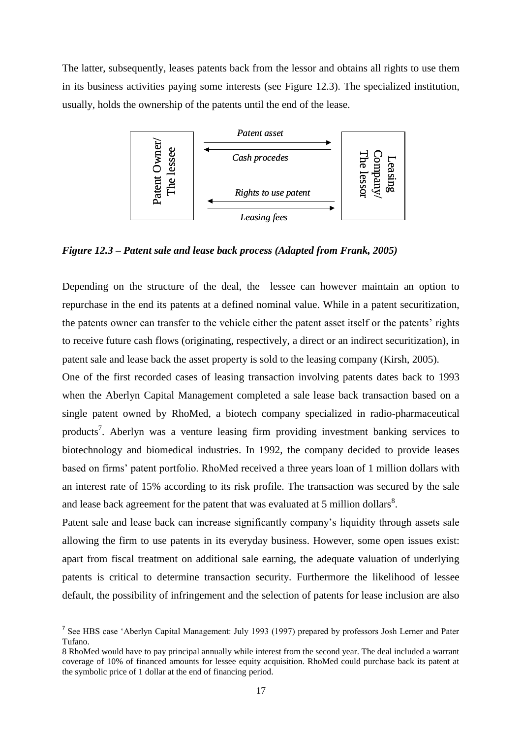The latter, subsequently, leases patents back from the lessor and obtains all rights to use them in its business activities paying some interests (see Figure 12.3). The specialized institution, usually, holds the ownership of the patents until the end of the lease.



*Figure 12.3 – Patent sale and lease back process (Adapted from Frank, 2005)*

Depending on the structure of the deal, the lessee can however maintain an option to repurchase in the end its patents at a defined nominal value. While in a patent securitization, the patents owner can transfer to the vehicle either the patent asset itself or the patents" rights to receive future cash flows (originating, respectively, a direct or an indirect securitization), in patent sale and lease back the asset property is sold to the leasing company (Kirsh, 2005).

One of the first recorded cases of leasing transaction involving patents dates back to 1993 when the Aberlyn Capital Management completed a sale lease back transaction based on a single patent owned by RhoMed, a biotech company specialized in radio-pharmaceutical products<sup>7</sup>. Aberlyn was a venture leasing firm providing investment banking services to biotechnology and biomedical industries. In 1992, the company decided to provide leases based on firms" patent portfolio. RhoMed received a three years loan of 1 million dollars with an interest rate of 15% according to its risk profile. The transaction was secured by the sale and lease back agreement for the patent that was evaluated at 5 million dollars<sup>8</sup>. Example 12.3 – Patent sale and lease back process (Adapted from Frank, 2005)<br>
Figure 12.3 – Patent sale and lease back process (Adapted from Frank, 2005)<br>
Depending on the structure of the deal, the lessee can however mai

Patent sale and lease back can increase significantly company's liquidity through assets sale allowing the firm to use patents in its everyday business. However, some open issues exist: apart from fiscal treatment on additional sale earning, the adequate valuation of underlying patents is critical to determine transaction security. Furthermore the likelihood of lessee default, the possibility of infringement and the selection of patents for lease inclusion are also

 $\overline{\phantom{a}}$ 

<sup>&</sup>lt;sup>7</sup> See HBS case 'Aberlyn Capital Management: July 1993 (1997) prepared by professors Josh Lerner and Pater Tufano.

<sup>8</sup> RhoMed would have to pay principal annually while interest from the second year. The deal included a warrant coverage of 10% of financed amounts for lessee equity acquisition. RhoMed could purchase back its patent at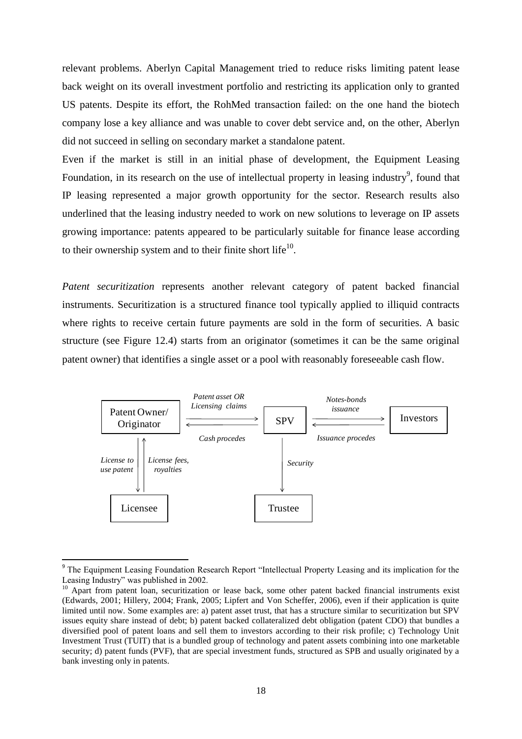relevant problems. Aberlyn Capital Management tried to reduce risks limiting patent lease back weight on its overall investment portfolio and restricting its application only to granted US patents. Despite its effort, the RohMed transaction failed: on the one hand the biotech company lose a key alliance and was unable to cover debt service and, on the other, Aberlyn did not succeed in selling on secondary market a standalone patent.

Even if the market is still in an initial phase of development, the Equipment Leasing Foundation, in its research on the use of intellectual property in leasing industry<sup>9</sup>, found that IP leasing represented a major growth opportunity for the sector. Research results also underlined that the leasing industry needed to work on new solutions to leverage on IP assets growing importance: patents appeared to be particularly suitable for finance lease according to their ownership system and to their finite short life<sup>10</sup>.

*Patent securitization* represents another relevant category of patent backed financial instruments. Securitization is a structured finance tool typically applied to illiquid contracts where rights to receive certain future payments are sold in the form of securities. A basic structure (see Figure 12.4) starts from an originator (sometimes it can be the same original patent owner) that identifies a single asset or a pool with reasonably foreseeable cash flow.



<sup>&</sup>lt;sup>9</sup> The Equipment Leasing Foundation Research Report "Intellectual Property Leasing and its implication for the Leasing Industry" was published in 2002.

 $\overline{\phantom{a}}$ 

<sup>&</sup>lt;sup>10</sup> Apart from patent loan, securitization or lease back, some other patent backed financial instruments exist (Edwards, 2001; Hillery, 2004; Frank, 2005; Lipfert and Von Scheffer, 2006), even if their application is quite limited until now. Some examples are: a) patent asset trust, that has a structure similar to securitization but SPV issues equity share instead of debt; b) patent backed collateralized debt obligation (patent CDO) that bundles a diversified pool of patent loans and sell them to investors according to their risk profile; c) Technology Unit Investment Trust (TUIT) that is a bundled group of technology and patent assets combining into one marketable security; d) patent funds (PVF), that are special investment funds, structured as SPB and usually originated by a bank investing only in patents.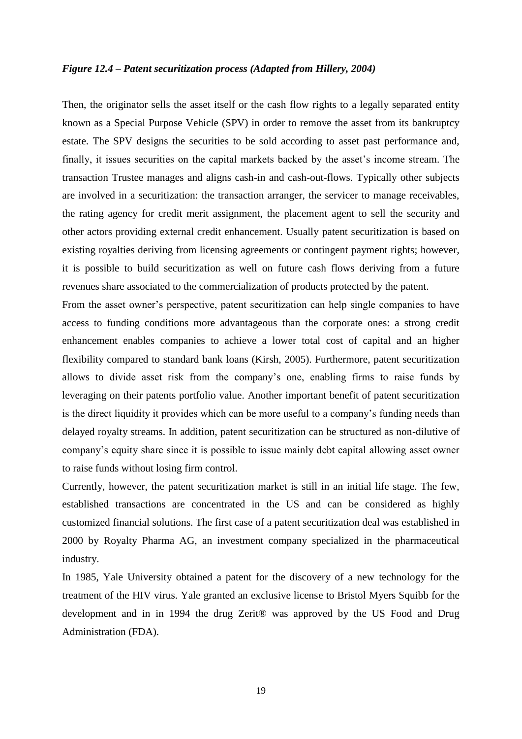### *Figure 12.4 – Patent securitization process (Adapted from Hillery, 2004)*

Then, the originator sells the asset itself or the cash flow rights to a legally separated entity known as a Special Purpose Vehicle (SPV) in order to remove the asset from its bankruptcy estate. The SPV designs the securities to be sold according to asset past performance and, finally, it issues securities on the capital markets backed by the asset's income stream. The transaction Trustee manages and aligns cash-in and cash-out-flows. Typically other subjects are involved in a securitization: the transaction arranger, the servicer to manage receivables, the rating agency for credit merit assignment, the placement agent to sell the security and other actors providing external credit enhancement. Usually patent securitization is based on existing royalties deriving from licensing agreements or contingent payment rights; however, it is possible to build securitization as well on future cash flows deriving from a future revenues share associated to the commercialization of products protected by the patent.

From the asset owner's perspective, patent securitization can help single companies to have access to funding conditions more advantageous than the corporate ones: a strong credit enhancement enables companies to achieve a lower total cost of capital and an higher flexibility compared to standard bank loans (Kirsh, 2005). Furthermore, patent securitization allows to divide asset risk from the company"s one, enabling firms to raise funds by leveraging on their patents portfolio value. Another important benefit of patent securitization is the direct liquidity it provides which can be more useful to a company"s funding needs than delayed royalty streams. In addition, patent securitization can be structured as non-dilutive of company"s equity share since it is possible to issue mainly debt capital allowing asset owner to raise funds without losing firm control.

Currently, however, the patent securitization market is still in an initial life stage. The few, established transactions are concentrated in the US and can be considered as highly customized financial solutions. The first case of a patent securitization deal was established in 2000 by Royalty Pharma AG, an investment company specialized in the pharmaceutical industry.

In 1985, Yale University obtained a patent for the discovery of a new technology for the treatment of the HIV virus. Yale granted an exclusive license to Bristol Myers Squibb for the development and in in 1994 the drug Zerit® was approved by the US Food and Drug Administration (FDA).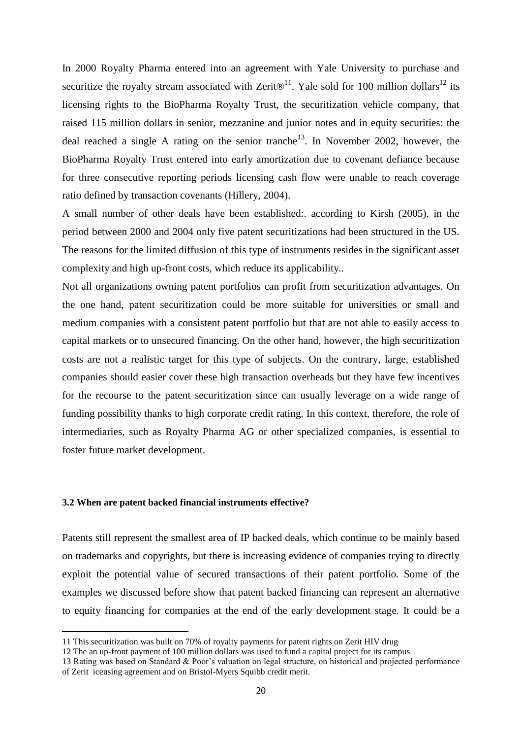In 2000 Royalty Pharma entered into an agreement with Yale University to purchase and securitize the royalty stream associated with Zerit $\mathbb{D}^{11}$ . Yale sold for 100 million dollars<sup>12</sup> its licensing rights to the BioPharma Royalty Trust, the securitization vehicle company, that raised 115 million dollars in senior, mezzanine and junior notes and in equity securities: the deal reached a single A rating on the senior tranche<sup>13</sup>. In November 2002, however, the BioPharma Royalty Trust entered into early amortization due to covenant defiance because for three consecutive reporting periods licensing cash flow were unable to reach coverage ratio defined by transaction covenants (Hillery, 2004).

A small number of other deals have been established:. according to Kirsh (2005), in the period between 2000 and 2004 only five patent securitizations had been structured in the US. The reasons for the limited diffusion of this type of instruments resides in the significant asset complexity and high up-front costs, which reduce its applicability..

Not all organizations owning patent portfolios can profit from securitization advantages. On the one hand, patent securitization could be more suitable for universities or small and medium companies with a consistent patent portfolio but that are not able to easily access to capital markets or to unsecured financing. On the other hand, however, the high securitization costs are not a realistic target for this type of subjects. On the contrary, large, established companies should easier cover these high transaction overheads but they have few incentives for the recourse to the patent securitization since can usually leverage on a wide range of funding possibility thanks to high corporate credit rating. In this context, therefore, the role of intermediaries, such as Royalty Pharma AG or other specialized companies, is essential to foster future market development.

### **3.2 When are patent backed financial instruments effective?**

 $\overline{\phantom{a}}$ 

Patents still represent the smallest area of IP backed deals, which continue to be mainly based on trademarks and copyrights, but there is increasing evidence of companies trying to directly exploit the potential value of secured transactions of their patent portfolio. Some of the examples we discussed before show that patent backed financing can represent an alternative to equity financing for companies at the end of the early development stage. It could be a

<sup>11</sup> This securitization was built on 70% of royalty payments for patent rights on Zerit HIV drug

<sup>12</sup> The an up-front payment of 100 million dollars was used to fund a capital project for its campus

<sup>13</sup> Rating was based on Standard & Poor"s valuation on legal structure, on historical and projected performance of Zerit icensing agreement and on Bristol-Myers Squibb credit merit.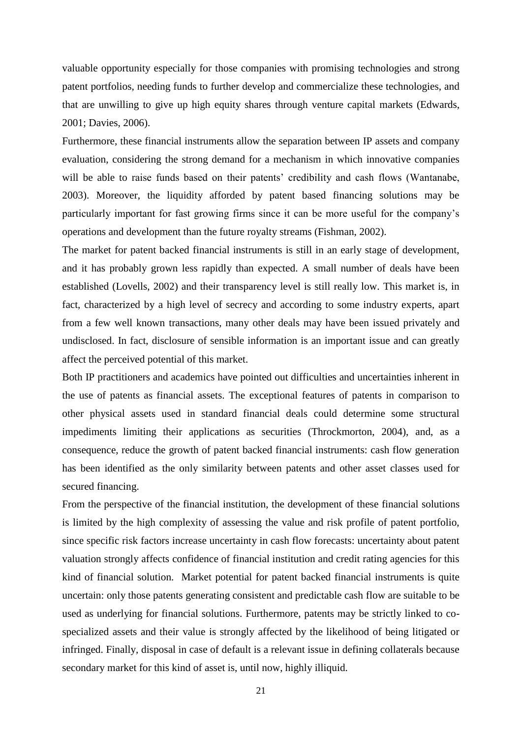valuable opportunity especially for those companies with promising technologies and strong patent portfolios, needing funds to further develop and commercialize these technologies, and that are unwilling to give up high equity shares through venture capital markets (Edwards, 2001; Davies, 2006).

Furthermore, these financial instruments allow the separation between IP assets and company evaluation, considering the strong demand for a mechanism in which innovative companies will be able to raise funds based on their patents' credibility and cash flows (Wantanabe, 2003). Moreover, the liquidity afforded by patent based financing solutions may be particularly important for fast growing firms since it can be more useful for the company"s operations and development than the future royalty streams (Fishman, 2002).

The market for patent backed financial instruments is still in an early stage of development, and it has probably grown less rapidly than expected. A small number of deals have been established (Lovells, 2002) and their transparency level is still really low. This market is, in fact, characterized by a high level of secrecy and according to some industry experts, apart from a few well known transactions, many other deals may have been issued privately and undisclosed. In fact, disclosure of sensible information is an important issue and can greatly affect the perceived potential of this market.

Both IP practitioners and academics have pointed out difficulties and uncertainties inherent in the use of patents as financial assets. The exceptional features of patents in comparison to other physical assets used in standard financial deals could determine some structural impediments limiting their applications as securities (Throckmorton, 2004), and, as a consequence, reduce the growth of patent backed financial instruments: cash flow generation has been identified as the only similarity between patents and other asset classes used for secured financing.

From the perspective of the financial institution, the development of these financial solutions is limited by the high complexity of assessing the value and risk profile of patent portfolio, since specific risk factors increase uncertainty in cash flow forecasts: uncertainty about patent valuation strongly affects confidence of financial institution and credit rating agencies for this kind of financial solution. Market potential for patent backed financial instruments is quite uncertain: only those patents generating consistent and predictable cash flow are suitable to be used as underlying for financial solutions. Furthermore, patents may be strictly linked to cospecialized assets and their value is strongly affected by the likelihood of being litigated or infringed. Finally, disposal in case of default is a relevant issue in defining collaterals because secondary market for this kind of asset is, until now, highly illiquid.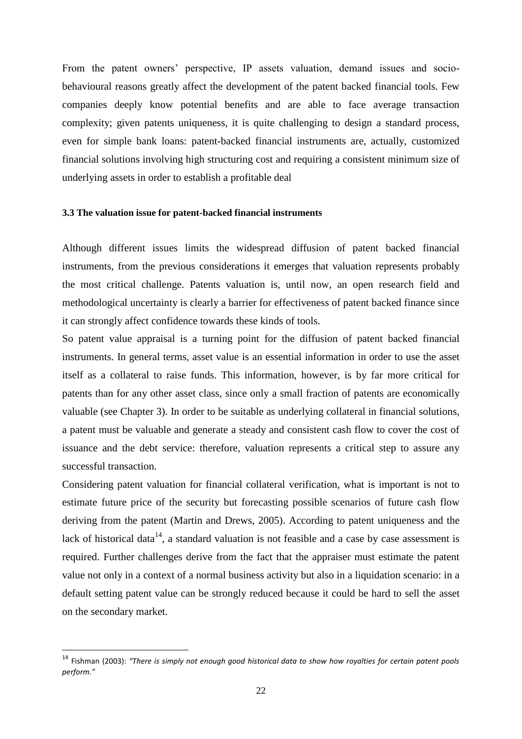From the patent owners' perspective, IP assets valuation, demand issues and sociobehavioural reasons greatly affect the development of the patent backed financial tools. Few companies deeply know potential benefits and are able to face average transaction complexity; given patents uniqueness, it is quite challenging to design a standard process, even for simple bank loans: patent-backed financial instruments are, actually, customized financial solutions involving high structuring cost and requiring a consistent minimum size of underlying assets in order to establish a profitable deal

### **3.3 The valuation issue for patent-backed financial instruments**

Although different issues limits the widespread diffusion of patent backed financial instruments, from the previous considerations it emerges that valuation represents probably the most critical challenge. Patents valuation is, until now, an open research field and methodological uncertainty is clearly a barrier for effectiveness of patent backed finance since it can strongly affect confidence towards these kinds of tools.

So patent value appraisal is a turning point for the diffusion of patent backed financial instruments. In general terms, asset value is an essential information in order to use the asset itself as a collateral to raise funds. This information, however, is by far more critical for patents than for any other asset class, since only a small fraction of patents are economically valuable (see Chapter 3). In order to be suitable as underlying collateral in financial solutions, a patent must be valuable and generate a steady and consistent cash flow to cover the cost of issuance and the debt service: therefore, valuation represents a critical step to assure any successful transaction.

Considering patent valuation for financial collateral verification, what is important is not to estimate future price of the security but forecasting possible scenarios of future cash flow deriving from the patent (Martin and Drews, 2005). According to patent uniqueness and the lack of historical data<sup>14</sup>, a standard valuation is not feasible and a case by case assessment is required. Further challenges derive from the fact that the appraiser must estimate the patent value not only in a context of a normal business activity but also in a liquidation scenario: in a default setting patent value can be strongly reduced because it could be hard to sell the asset on the secondary market.

 $\overline{\phantom{a}}$ 

<sup>14</sup> Fishman (2003): *"There is simply not enough good historical data to show how royalties for certain patent pools perform."*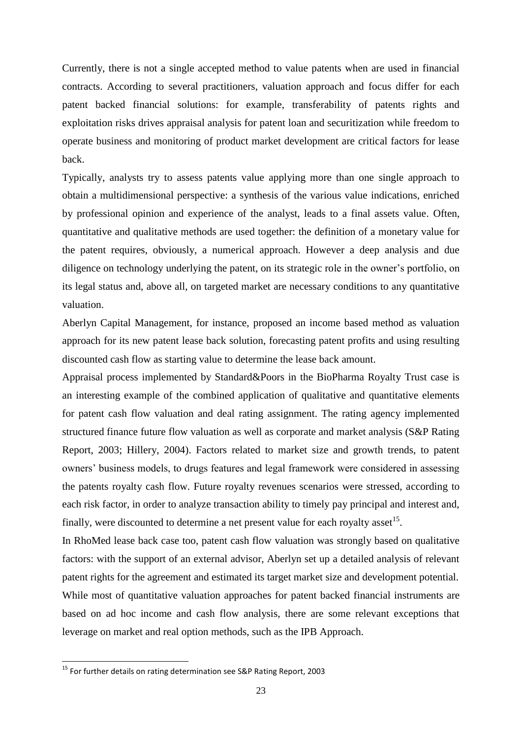Currently, there is not a single accepted method to value patents when are used in financial contracts. According to several practitioners, valuation approach and focus differ for each patent backed financial solutions: for example, transferability of patents rights and exploitation risks drives appraisal analysis for patent loan and securitization while freedom to operate business and monitoring of product market development are critical factors for lease back.

Typically, analysts try to assess patents value applying more than one single approach to obtain a multidimensional perspective: a synthesis of the various value indications, enriched by professional opinion and experience of the analyst, leads to a final assets value. Often, quantitative and qualitative methods are used together: the definition of a monetary value for the patent requires, obviously, a numerical approach. However a deep analysis and due diligence on technology underlying the patent, on its strategic role in the owner"s portfolio, on its legal status and, above all, on targeted market are necessary conditions to any quantitative valuation.

Aberlyn Capital Management, for instance, proposed an income based method as valuation approach for its new patent lease back solution, forecasting patent profits and using resulting discounted cash flow as starting value to determine the lease back amount.

Appraisal process implemented by Standard&Poors in the BioPharma Royalty Trust case is an interesting example of the combined application of qualitative and quantitative elements for patent cash flow valuation and deal rating assignment. The rating agency implemented structured finance future flow valuation as well as corporate and market analysis (S&P Rating Report, 2003; Hillery, 2004). Factors related to market size and growth trends, to patent owners" business models, to drugs features and legal framework were considered in assessing the patents royalty cash flow. Future royalty revenues scenarios were stressed, according to each risk factor, in order to analyze transaction ability to timely pay principal and interest and, finally, were discounted to determine a net present value for each royalty asset<sup>15</sup>.

In RhoMed lease back case too, patent cash flow valuation was strongly based on qualitative factors: with the support of an external advisor, Aberlyn set up a detailed analysis of relevant patent rights for the agreement and estimated its target market size and development potential. While most of quantitative valuation approaches for patent backed financial instruments are based on ad hoc income and cash flow analysis, there are some relevant exceptions that leverage on market and real option methods, such as the IPB Approach.

 $\overline{\phantom{a}}$ 

<sup>&</sup>lt;sup>15</sup> For further details on rating determination see S&P Rating Report, 2003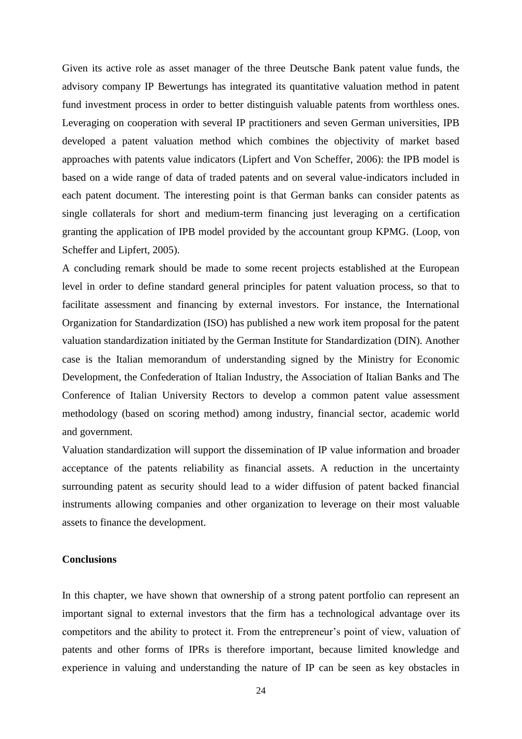Given its active role as asset manager of the three Deutsche Bank patent value funds, the advisory company IP Bewertungs has integrated its quantitative valuation method in patent fund investment process in order to better distinguish valuable patents from worthless ones. Leveraging on cooperation with several IP practitioners and seven German universities, IPB developed a patent valuation method which combines the objectivity of market based approaches with patents value indicators (Lipfert and Von Scheffer, 2006): the IPB model is based on a wide range of data of traded patents and on several value-indicators included in each patent document. The interesting point is that German banks can consider patents as single collaterals for short and medium-term financing just leveraging on a certification granting the application of IPB model provided by the accountant group KPMG. (Loop, von Scheffer and Lipfert, 2005).

A concluding remark should be made to some recent projects established at the European level in order to define standard general principles for patent valuation process, so that to facilitate assessment and financing by external investors. For instance, the International Organization for Standardization (ISO) has published a new work item proposal for the patent valuation standardization initiated by the German Institute for Standardization (DIN). Another case is the Italian memorandum of understanding signed by the Ministry for Economic Development, the Confederation of Italian Industry, the Association of Italian Banks and The Conference of Italian University Rectors to develop a common patent value assessment methodology (based on scoring method) among industry, financial sector, academic world and government.

Valuation standardization will support the dissemination of IP value information and broader acceptance of the patents reliability as financial assets. A reduction in the uncertainty surrounding patent as security should lead to a wider diffusion of patent backed financial instruments allowing companies and other organization to leverage on their most valuable assets to finance the development.

### **Conclusions**

In this chapter, we have shown that ownership of a strong patent portfolio can represent an important signal to external investors that the firm has a technological advantage over its competitors and the ability to protect it. From the entrepreneur's point of view, valuation of patents and other forms of IPRs is therefore important, because limited knowledge and experience in valuing and understanding the nature of IP can be seen as key obstacles in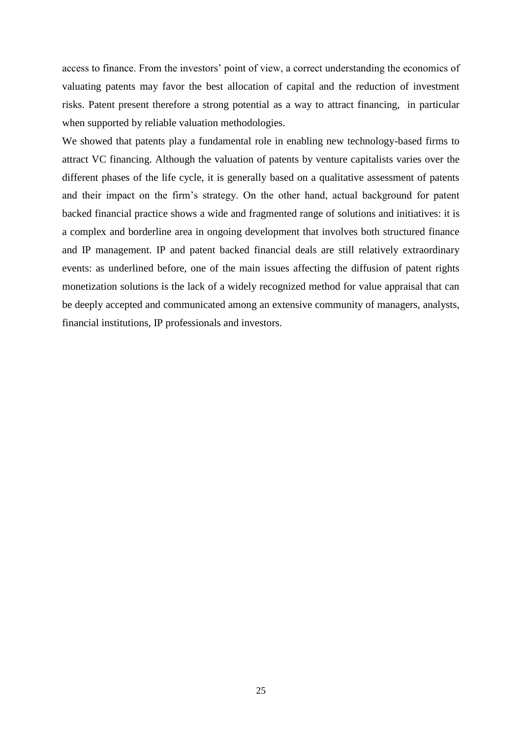access to finance. From the investors' point of view, a correct understanding the economics of valuating patents may favor the best allocation of capital and the reduction of investment risks. Patent present therefore a strong potential as a way to attract financing, in particular when supported by reliable valuation methodologies.

We showed that patents play a fundamental role in enabling new technology-based firms to attract VC financing. Although the valuation of patents by venture capitalists varies over the different phases of the life cycle, it is generally based on a qualitative assessment of patents and their impact on the firm"s strategy. On the other hand, actual background for patent backed financial practice shows a wide and fragmented range of solutions and initiatives: it is a complex and borderline area in ongoing development that involves both structured finance and IP management. IP and patent backed financial deals are still relatively extraordinary events: as underlined before, one of the main issues affecting the diffusion of patent rights monetization solutions is the lack of a widely recognized method for value appraisal that can be deeply accepted and communicated among an extensive community of managers, analysts, financial institutions, IP professionals and investors.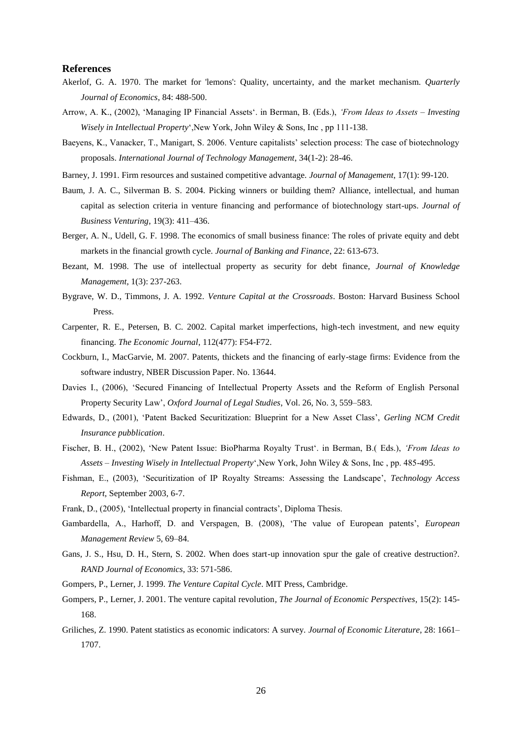### **References**

- Akerlof, G. A. 1970. The market for 'lemons': Quality, uncertainty, and the market mechanism. *Quarterly Journal of Economics*, 84: 488-500.
- Arrow, A. K., (2002), "Managing IP Financial Assets". in Berman, B. (Eds.), *"From Ideas to Assets – Investing Wisely in Intellectual Property*",New York, John Wiley & Sons, Inc , pp 111-138.
- Baeyens, K., Vanacker, T., Manigart, S. 2006. Venture capitalists" selection process: The case of biotechnology proposals. *International Journal of Technology Management*, 34(1-2): 28-46.
- Barney, J. 1991. Firm resources and sustained competitive advantage. *Journal of Management*, 17(1): 99-120.
- Baum, J. A. C., Silverman B. S. 2004. Picking winners or building them? Alliance, intellectual, and human capital as selection criteria in venture financing and performance of biotechnology start-ups. *Journal of Business Venturing*, 19(3): 411–436.
- Berger, A. N., Udell, G. F. 1998. The economics of small business finance: The roles of private equity and debt markets in the financial growth cycle. *Journal of Banking and Finance*, 22: 613-673.
- Bezant, M. 1998. The use of intellectual property as security for debt finance, *Journal of Knowledge Management*, 1(3): 237-263.
- Bygrave, W. D., Timmons, J. A. 1992. *Venture Capital at the Crossroads*. Boston: Harvard Business School Press.
- Carpenter, R. E., Petersen, B. C. 2002. Capital market imperfections, high-tech investment, and new equity financing. *The Economic Journal*, 112(477): F54-F72.
- Cockburn, I., MacGarvie, M. 2007. Patents, thickets and the financing of early-stage firms: Evidence from the software industry, NBER Discussion Paper. No. 13644.
- Davies I., (2006), "Secured Financing of Intellectual Property Assets and the Reform of English Personal Property Security Law", *Oxford Journal of Legal Studies*, Vol. 26, No. 3, 559–583.
- Edwards, D., (2001), "Patent Backed Securitization: Blueprint for a New Asset Class", *Gerling NCM Credit Insurance pubblication*.
- Fischer, B. H., (2002), "New Patent Issue: BioPharma Royalty Trust". in Berman, B.( Eds.), *"From Ideas to Assets – Investing Wisely in Intellectual Property*",New York, John Wiley & Sons, Inc , pp. 485-495.
- Fishman, E., (2003), 'Securitization of IP Royalty Streams: Assessing the Landscape', *Technology Access Report*, September 2003, 6-7.
- Frank, D., (2005), "Intellectual property in financial contracts", Diploma Thesis.
- Gambardella, A., Harhoff, D. and Verspagen, B. (2008), "The value of European patents", *European Management Review* 5, 69–84.
- Gans, J. S., Hsu, D. H., Stern, S. 2002. When does start-up innovation spur the gale of creative destruction?. *RAND Journal of Economics*, 33: 571-586.
- Gompers, P., Lerner, J. 1999. *The Venture Capital Cycle*. MIT Press, Cambridge.
- Gompers, P., Lerner, J. 2001. The venture capital revolution*, The Journal of Economic Perspectives*, 15(2): 145- 168.
- Griliches, Z. 1990. Patent statistics as economic indicators: A survey. *Journal of Economic Literature*, 28: 1661– 1707.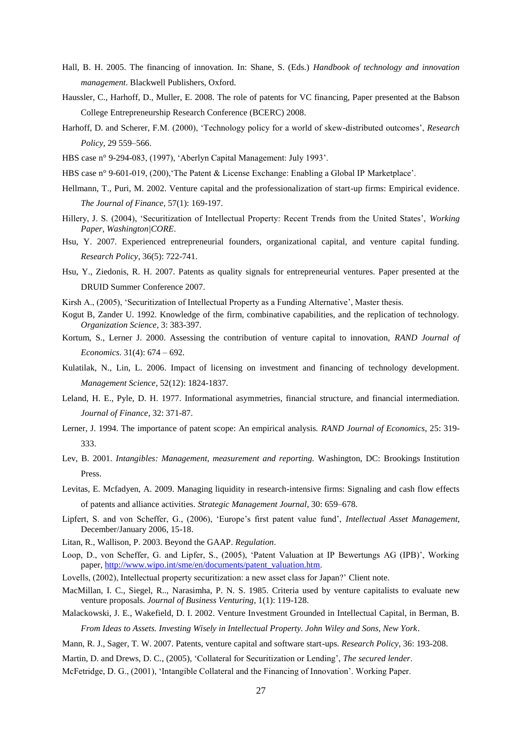- Hall, B. H. 2005. The financing of innovation. In: Shane, S. (Eds.) *Handbook of technology and innovation management*. Blackwell Publishers, Oxford.
- Haussler, C., Harhoff, D., Muller, E. 2008. The role of patents for VC financing, Paper presented at the Babson College Entrepreneurship Research Conference (BCERC) 2008.
- Harhoff, D. and Scherer, F.M. (2000), "Technology policy for a world of skew-distributed outcomes", *Research Policy,* 29 559–566.
- HBS case n° 9-294-083, (1997), "Aberlyn Capital Management: July 1993".
- HBS case n° 9-601-019, (200), 'The Patent & License Exchange: Enabling a Global IP Marketplace'.
- Hellmann, T., Puri, M. 2002. Venture capital and the professionalization of start-up firms: Empirical evidence. *The Journal of Finance*, 57(1): 169-197.
- Hillery, J. S. (2004), "Securitization of Intellectual Property: Recent Trends from the United States", *Working Paper, Washington|CORE*.
- Hsu, Y. 2007. Experienced entrepreneurial founders, organizational capital, and venture capital funding. *Research Policy*, 36(5): 722-741.
- Hsu, Y., Ziedonis, R. H. 2007. Patents as quality signals for entrepreneurial ventures. Paper presented at the DRUID Summer Conference 2007.
- Kirsh A., (2005), 'Securitization of Intellectual Property as a Funding Alternative', Master thesis.
- Kogut B, Zander U. 1992. Knowledge of the firm, combinative capabilities, and the replication of technology. *Organization Science*, 3: 383-397.
- Kortum, S., Lerner J. 2000. Assessing the contribution of venture capital to innovation, *RAND Journal of Economics*. 31(4): 674 – 692.
- Kulatilak, N., Lin, L. 2006. Impact of licensing on investment and financing of technology development. *Management Science*, 52(12): 1824-1837.
- Leland, H. E., Pyle, D. H. 1977. Informational asymmetries, financial structure, and financial intermediation. *Journal of Finance*, 32: 371-87.
- Lerner, J. 1994. The importance of patent scope: An empirical analysis. *RAND Journal of Economics*, 25: 319- 333.
- Lev, B. 2001. *Intangibles: Management, measurement and reporting.* Washington, DC: Brookings Institution Press.
- Levitas, E. Mcfadyen, A. 2009. Managing liquidity in research-intensive firms: Signaling and cash flow effects of patents and alliance activities. *Strategic Management Journal*, 30: 659–678.
- Lipfert, S. and von Scheffer, G., (2006), 'Europe's first patent value fund', *Intellectual Asset Management*, December/January 2006, 15-18.
- Litan, R., Wallison, P. 2003. Beyond the GAAP. *Regulation*.
- Loop, D., von Scheffer, G. and Lipfer, S., (2005), 'Patent Valuation at IP Bewertungs AG (IPB)', Working paper[, http://www.wipo.int/sme/en/documents/patent\\_valuation.htm.](http://www.wipo.int/sme/en/documents/patent_valuation.htm)
- Lovells, (2002), Intellectual property securitization: a new asset class for Japan?" Client note.
- MacMillan, I. C., Siegel, R.., Narasimha, P. N. S. 1985. Criteria used by venture capitalists to evaluate new venture proposals. *Journal of Business Venturing*, 1(1): 119-128.
- Malackowski, J. E., Wakefield, D. I. 2002. Venture Investment Grounded in Intellectual Capital, in Berman, B. *From Ideas to Assets. Investing Wisely in Intellectual Property. John Wiley and Sons, New York*.
- Mann, R. J., Sager, T. W. 2007. Patents, venture capital and software start-ups. *Research Policy*, 36: 193-208.
- Martin, D. and Drews, D. C., (2005), "Collateral for Securitization or Lending", *The secured lender*.
- McFetridge, D. G., (2001), "Intangible Collateral and the Financing of Innovation". Working Paper.